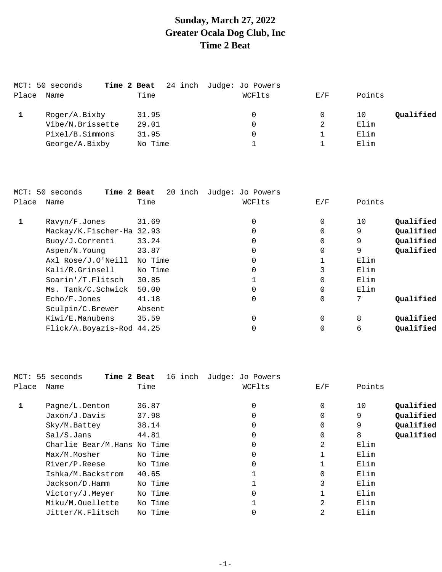# **Sunday, March 27, 2022 Greater Ocala Dog Club, Inc Time 2 Beat**

|       | MCT: 50 seconds<br>Time 2 Beat |         | 24 inch Judge: Jo Powers |     |                 |
|-------|--------------------------------|---------|--------------------------|-----|-----------------|
| Place | Name                           | Time    | WCFlts                   | E/F | Points          |
|       | Roger/A.Bixby                  | 31.95   | 0                        |     | Qualified<br>10 |
|       | Vibe/N.Brissette               | 29.01   | 0                        | 2   | Elim            |
|       | Pixel/B.Simmons                | 31.95   | 0                        |     | Elim            |
|       | George/A.Bixby                 | No Time |                          |     | Elim            |
|       |                                |         |                          |     |                 |

|       | MCT: 50 seconds<br>Time 2 Beat | 20 inch | Judge: Jo Powers |          |        |           |
|-------|--------------------------------|---------|------------------|----------|--------|-----------|
| Place | Name                           | Time    | WCFlts           | E/F      | Points |           |
|       | Ravyn/F.Jones                  | 31.69   | 0                | $\Omega$ | 10     | Qualified |
|       | Mackay/K.Fischer-Ha 32.93      |         | $\Omega$         | $\Omega$ | 9      | Qualified |
|       | Buoy/J.Correnti                | 33.24   | 0                | 0        | 9      | Qualified |
|       | Aspen/N.Young                  | 33.87   |                  | $\Omega$ | 9      | Qualified |
|       | Axl Rose/J.O'Neill             | No Time |                  |          | Elim   |           |
|       | Kali/R.Grinsell                | No Time | 0                | 3        | Elim   |           |
|       | Soarin'/T.Flitsch              | 30.85   |                  | $\Omega$ | Elim   |           |
|       | Ms. Tank/C.Schwick             | 50.00   | 0                | 0        | Elim   |           |
|       | Echo/F.Jones                   | 41.18   | $\Omega$         | 0        |        | Oualified |
|       | Sculpin/C.Brewer               | Absent  |                  |          |        |           |
|       | Kiwi/E.Manubens                | 35.59   | $\Omega$         | $\Omega$ | 8      | Qualified |
|       | Flick/A.Boyazis-Rod 44.25      |         |                  |          | 6      | Qualified |
|       |                                |         |                  |          |        |           |

|       | MCT: 55 seconds<br>Time 2 Beat | 16 inch | Judge: Jo Powers |             |                 |
|-------|--------------------------------|---------|------------------|-------------|-----------------|
| Place | Name                           | Time    | WCFlts           | E/F         | Points          |
|       |                                |         |                  |             |                 |
| 1     | Pagne/L.Denton                 | 36.87   | 0                | 0           | Qualified<br>10 |
|       | Jaxon/J.Davis                  | 37.98   | $\Omega$         | $\Omega$    | Qualified<br>9  |
|       | Sky/M.Battey                   | 38.14   | $\Omega$         | $\mathbf 0$ | Qualified<br>9  |
|       | Sal/S.Jans                     | 44.81   | $\Omega$         | 0           | 8<br>Qualified  |
|       | Charlie Bear/M.Hans No Time    |         | 0                | 2           | Elim            |
|       | Max/M.Mosher                   | No Time | $\Omega$         |             | Elim            |
|       | River/P.Reese                  | No Time | $\Omega$         |             | Elim            |
|       | Ishka/M.Backstrom              | 40.65   |                  | $\Omega$    | Elim            |
|       | Jackson/D.Hamm                 | No Time |                  | 3           | Elim            |
|       | Victory/J.Meyer                | No Time | $\Omega$         |             | Elim            |
|       | Miku/M.Ouellette               | No Time |                  | 2           | Elim            |
|       | Jitter/K.Flitsch               | No Time | 0                | 2           | Elim            |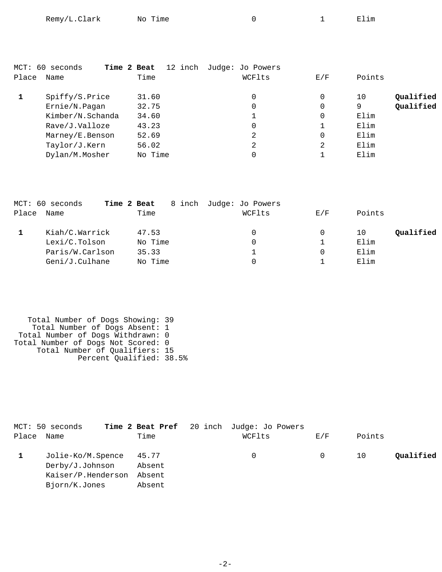| Remy/L.Clark<br>No Time |  |  | Elim |
|-------------------------|--|--|------|
|-------------------------|--|--|------|

|       | MCT: 60 seconds  | 12 inch<br>Time 2 Beat | Judge: Jo Powers |     |                 |
|-------|------------------|------------------------|------------------|-----|-----------------|
| Place | Name             | Time                   | WCFlts           | E/F | Points          |
|       | Spiffy/S.Price   | 31.60                  | 0                | 0   | Qualified<br>10 |
|       | Ernie/N.Pagan    | 32.75                  | 0                | 0   | Qualified<br>9  |
|       | Kimber/N.Schanda | 34.60                  |                  | 0   | Elim            |
|       | Rave/J.Valloze   | 43.23                  | 0                |     | Elim            |
|       | Marney/E.Benson  | 52.69                  | 2                | 0   | Elim            |
|       | Taylor/J.Kern    | 56.02                  | 2                | 2   | Elim            |
|       | Dylan/M.Mosher   | No Time                | 0                |     | Elim            |

|       | MCT: 60 seconds<br>Time 2 Beat |         | 8 inch Judge: Jo Powers |     |                 |
|-------|--------------------------------|---------|-------------------------|-----|-----------------|
| Place | Name                           | Time    | WCFlts                  | E/F | Points          |
|       | Kiah/C.Warrick                 | 47.53   | $\Omega$                |     | Qualified<br>10 |
|       | Lexi/C.Tolson                  | No Time | $\Omega$                |     | Elim            |
|       | Paris/W.Carlson                | 35.33   |                         | 0   | Elim            |
|       | Geni/J.Culhane                 | No Time | 0                       |     | Elim            |

 Total Number of Dogs Showing: 39 Total Number of Dogs Absent: 1 Total Number of Dogs Withdrawn: 0 Total Number of Dogs Not Scored: 0 Total Number of Qualifiers: 15 Percent Qualified: 38.5%

|            | MCT: 50 seconds         | Time 2 Beat Pref 20 inch Judge: Jo Powers |          |     |        |           |
|------------|-------------------------|-------------------------------------------|----------|-----|--------|-----------|
| Place Name |                         | Time                                      | WCFlts   | E/F | Points |           |
|            | Jolie-Ko/M.Spence 45.77 |                                           | $\Omega$ | 0   | 10     | Qualified |
|            | Derby/J.Johnson         | Absent                                    |          |     |        |           |
|            | Kaiser/P.Henderson      | Absent                                    |          |     |        |           |
|            | Bjorn/K.Jones           | Absent                                    |          |     |        |           |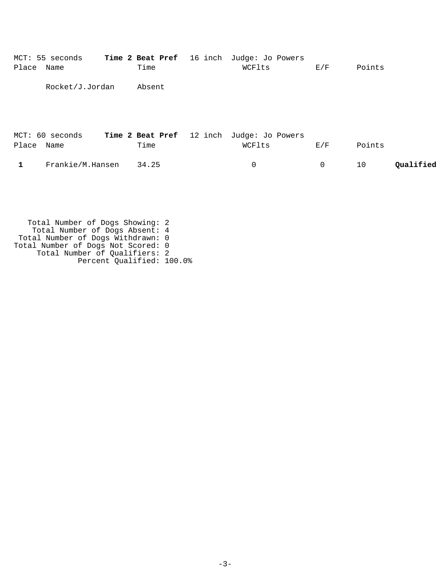| Place      | MCT: 55 seconds<br>Name | Time 2 Beat Pref 16 inch<br>Time | Judge: Jo Powers<br>WCFlts | E/F | Points          |
|------------|-------------------------|----------------------------------|----------------------------|-----|-----------------|
|            | Rocket/J.Jordan         | Absent                           |                            |     |                 |
| Place Name | MCT: 60 seconds         | Time 2 Beat Pref 12 inch<br>Time | Judge: Jo Powers<br>WCFlts | E/F | Points          |
| 1          | Frankie/M.Hansen        | 34.25                            | 0                          | 0   | Qualified<br>10 |

 Total Number of Dogs Showing: 2 Total Number of Dogs Absent: 4 Total Number of Dogs Withdrawn: 0 Total Number of Dogs Not Scored: 0 Total Number of Qualifiers: 2 Percent Qualified: 100.0%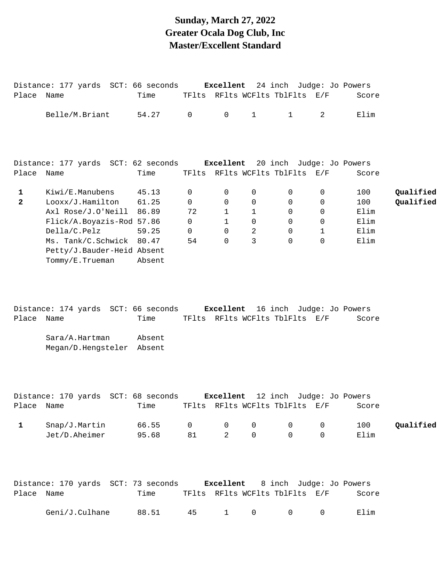### **Sunday, March 27, 2022 Greater Ocala Dog Club, Inc Master/Excellent Standard**

|                   | Distance: 177 yards SCT: 66 seconds Excellent 24 inch Judge: Jo Powers                                                                                                                    |                                   |                                                        |                                                                   |                                                              |                                                                              |                                             |                                            |                        |
|-------------------|-------------------------------------------------------------------------------------------------------------------------------------------------------------------------------------------|-----------------------------------|--------------------------------------------------------|-------------------------------------------------------------------|--------------------------------------------------------------|------------------------------------------------------------------------------|---------------------------------------------|--------------------------------------------|------------------------|
| Place Name        |                                                                                                                                                                                           | Time                              |                                                        |                                                                   |                                                              | TFlts RFlts WCFlts TblFlts E/F                                               |                                             | Score                                      |                        |
|                   | Belle/M.Briant                                                                                                                                                                            | 54.27                             | $\overline{0}$                                         | $\mathsf{O}$                                                      | $1 \quad \cdots$                                             | $\mathbf{1}$                                                                 | 2                                           | Elim                                       |                        |
|                   | Distance: 177 yards SCT: 62 seconds Excellent 20 inch Judge: Jo Powers                                                                                                                    |                                   |                                                        |                                                                   |                                                              |                                                                              |                                             |                                            |                        |
| Place Name        |                                                                                                                                                                                           | Time                              |                                                        |                                                                   |                                                              | TFlts RFlts WCFlts TblFlts E/F                                               |                                             | Score                                      |                        |
| 1<br>$\mathbf{2}$ | Kiwi/E.Manubens<br>Looxx/J.Hamilton<br>Axl Rose/J.O'Neill 86.89<br>Flick/A.Boyazis-Rod 57.86<br>Della/C.Pelz<br>Ms. Tank/C.Schwick 80.47<br>Petty/J.Bauder-Heid Absent<br>Tommy/E.Trueman | 45.13<br>61.25<br>59.25<br>Absent | 0<br>0<br>72<br>$\overline{0}$<br>$\overline{0}$<br>54 | 0<br>0<br>$\mathbf{1}$<br>$\mathbf{1}$<br>$\mathbf 0$<br>$\Omega$ | 0<br>0<br>$\mathbf{1}$<br>$\mathbf 0$<br>$\overline{2}$<br>3 | 0<br>$\mathbf 0$<br>$\overline{0}$<br>$\mathbf 0$<br>$\mathbf 0$<br>$\Omega$ | 0<br>0<br>0<br>0<br>$\mathbf 1$<br>$\Omega$ | 100<br>100<br>Elim<br>Elim<br>Elim<br>Elim | Qualified<br>Qualified |
| Place Name        | Distance: 174 yards SCT: 66 seconds Excellent 16 inch Judge: Jo Powers<br>Sara/A.Hartman<br>Megan/D.Hengsteler Absent                                                                     | Time<br>Absent                    |                                                        |                                                                   |                                                              | TFlts RFlts WCFlts TblFlts E/F                                               |                                             | Score                                      |                        |
|                   | Distance: 170 yards SCT: 68 seconds Excellent 12 inch Judge: Jo Powers                                                                                                                    |                                   |                                                        |                                                                   |                                                              |                                                                              |                                             |                                            |                        |
|                   | Place Name Time TFlts RFlts WCFlts TblFlts E/F                                                                                                                                            |                                   |                                                        |                                                                   |                                                              |                                                                              |                                             | Score                                      |                        |
| $\mathbf{1}$      | Snap/J.Martin<br>Jet/D.Aheimer                                                                                                                                                            | 66.55<br>95.68                    | $\mathsf{O}$<br>81                                     | 0<br>2                                                            | 0<br>$\Omega$                                                | $\mathsf{O}$<br>$\Omega$                                                     | 0<br>$\Omega$                               | 100<br>Elim                                | Qualified              |
| Place Name        | Distance: 170 yards SCT: 73 seconds Excellent                                                                                                                                             | Time                              |                                                        |                                                                   |                                                              | 8 inch Judge: Jo Powers<br>TFlts RFlts WCFlts TblFlts E/F                    |                                             | Score                                      |                        |
|                   | Geni/J.Culhane                                                                                                                                                                            | 88.51                             | 45                                                     | $\mathbf{1}$                                                      | $\mathsf{O}$                                                 | $\mathsf{O}$                                                                 | 0                                           | Elim                                       |                        |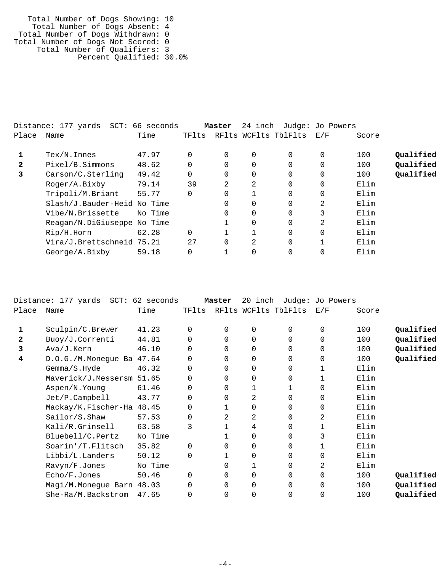Total Number of Dogs Showing: 10 Total Number of Dogs Absent: 4 Total Number of Dogs Withdrawn: 0 Total Number of Dogs Not Scored: 0 Total Number of Qualifiers: 3 Percent Qualified: 30.0%

|              | Distance: 177 yards SCT: 66 seconds |         |          | Master   | 24 inch  |                      | Judge: Jo Powers |       |           |
|--------------|-------------------------------------|---------|----------|----------|----------|----------------------|------------------|-------|-----------|
| Place        | Name                                | Time    | TFlts    |          |          | RFlts WCFlts TblFlts | E/F              | Score |           |
|              | $Text/N$ . Innes                    | 47.97   | 0        | $\Omega$ | $\Omega$ |                      | $\Omega$         | 100   | Oualified |
| $\mathbf{2}$ | Pixel/B.Simmons                     | 48.62   | $\Omega$ | $\Omega$ |          |                      | $\Omega$         | 100   | Qualified |
| 3            | Carson/C.Sterling                   | 49.42   | $\Omega$ | $\Omega$ | $\Omega$ |                      | $\Omega$         | 100   | Qualified |
|              | Roger/A.Bixby                       | 79.14   | 39       | 2        | 2        |                      | $\Omega$         | Elim  |           |
|              | Tripoli/M.Briant                    | 55.77   | 0        | 0        |          |                      | $\Omega$         | Elim  |           |
|              | Slash/J.Bauder-Heid No Time         |         |          | 0        | $\Omega$ |                      | $\overline{2}$   | Elim  |           |
|              | Vibe/N.Brissette                    | No Time |          | $\Omega$ | $\Omega$ |                      | 3                | Elim  |           |
|              | Reagan/N.DiGiuseppe No Time         |         |          |          | $\Omega$ |                      | 2                | Elim  |           |
|              | Rip/H.Horn                          | 62.28   | $\Omega$ |          |          |                      | $\Omega$         | Elim  |           |
|              | Vira/J.Brettschneid 75.21           |         | 2.7      | $\Omega$ | 2        |                      |                  | Elim  |           |
|              | George/A.Bixby                      | 59.18   | $\Omega$ |          |          |                      | $\Omega$         | Elim  |           |

|              | Distance: 177 yards SCT:  | 62 seconds |          | Master       | 20 inch      | Judge:               | Jo Powers   |       |           |
|--------------|---------------------------|------------|----------|--------------|--------------|----------------------|-------------|-------|-----------|
| Place        | Name                      | Time       | TFlts    |              |              | RFlts WCFlts TblFlts | E/F         | Score |           |
| 1            | Sculpin/C.Brewer          | 41.23      | 0        | 0            | 0            | $\Omega$             | 0           | 100   | Qualified |
| $\mathbf{2}$ | Buoy/J.Correnti           | 44.81      |          | $\Omega$     | 0            | 0                    | $\Omega$    | 100   | Qualified |
| 3            | Ava/J.Kern                | 46.10      | $\Omega$ | $\Omega$     | $\Omega$     | $\Omega$             | $\Omega$    | 100   | Qualified |
| 4            | D.O.G./M.Monegue Ba 47.64 |            | 0        | 0            | 0            | $\Omega$             | $\Omega$    | 100   | Qualified |
|              | Gemma/S.Hyde              | 46.32      | 0        | $\Omega$     | 0            | 0                    |             | Elim  |           |
|              | Maverick/J.Messersm 51.65 |            | 0        | 0            | 0            | 0                    | 1           | Elim  |           |
|              | Aspen/N.Young             | 61.46      | $\Omega$ | $\Omega$     | $\mathbf{1}$ |                      | $\Omega$    | Elim  |           |
|              | Jet/P.Campbell            | 43.77      | $\Omega$ | $\Omega$     | 2            | $\Omega$             | $\Omega$    | Elim  |           |
|              | Mackay/K.Fischer-Ha 48.45 |            | 0        | $\mathbf{1}$ | 0            | 0                    | $\mathbf 0$ | Elim  |           |
|              | Sailor/S.Shaw             | 57.53      | 0        | 2            | 2            | $\Omega$             | 2           | Elim  |           |
|              | Kali/R.Grinsell           | 63.58      | 3        |              | 4            | 0                    | 1           | Elim  |           |
|              | Bluebell/C.Pertz          | No Time    |          |              | $\Omega$     | $\Omega$             | 3           | Elim  |           |
|              | Soarin'/T.Flitsch         | 35.82      | $\Omega$ | $\Omega$     | $\mathbf 0$  | $\Omega$             |             | Elim  |           |
|              | Libbi/L.Landers           | 50.12      | 0        | 1            | 0            | 0                    | $\Omega$    | Elim  |           |
|              | Ravyn/F.Jones             | No Time    |          | $\Omega$     | $\mathbf{1}$ | $\Omega$             | 2           | Elim  |           |
|              | Echo/F.Jones              | 50.46      | $\Omega$ | 0            | $\mathbf 0$  | 0                    | 0           | 100   | Qualified |
|              | Magi/M.Monegue Barn 48.03 |            | 0        | $\Omega$     | $\mathbf 0$  | $\Omega$             | $\Omega$    | 100   | Qualified |
|              | She-Ra/M.Backstrom        | 47.65      |          | $\Omega$     | $\Omega$     | 0                    | 0           | 100   | Qualified |
|              |                           |            |          |              |              |                      |             |       |           |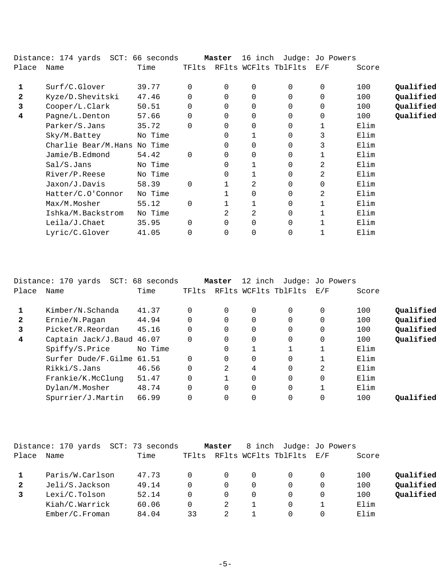|       | Distance: 174 yards SCT: 66 seconds |         |          | Master   | 16 inch |                      | Judge: Jo Powers |       |           |
|-------|-------------------------------------|---------|----------|----------|---------|----------------------|------------------|-------|-----------|
| Place | Name                                | Time    | TFlts    |          |         | RFlts WCFlts TblFlts | E/F              | Score |           |
|       | Surf/C.Glover                       | 39.77   |          | $\Omega$ | 0       | 0                    | 0                | 100   | Qualified |
| 2     | Kyze/D.Shevitski                    | 47.46   |          | $\Omega$ | 0       | 0                    | 0                | 100   | Qualified |
| 3     | Cooper/L.Clark                      | 50.51   |          | $\Omega$ | 0       | 0                    | $\mathbf 0$      | 100   | Qualified |
| 4     | Pagne/L.Denton                      | 57.66   |          | $\Omega$ | 0       | 0                    | $\mathbf 0$      | 100   | Qualified |
|       | Parker/S.Jans                       | 35.72   |          | $\Omega$ | 0       | 0                    | 1                | Elim  |           |
|       | Sky/M.Battey                        | No Time |          | 0        |         | 0                    | 3                | Elim  |           |
|       | Charlie Bear/M.Hans                 | No Time |          | 0        | 0       | 0                    | 3                | Elim  |           |
|       | Jamie/B.Edmond                      | 54.42   | $\Omega$ | $\Omega$ | 0       | 0                    | 1                | Elim  |           |
|       | Sal/S.Jans                          | No Time |          | 0        |         | 0                    | 2                | Elim  |           |
|       | River/P.Reese                       | No Time |          | 0        |         | 0                    | 2                | Elim  |           |
|       | Jaxon/J.Davis                       | 58.39   |          |          | 2       | 0                    | 0                | Elim  |           |
|       | Hatter/C.O'Connor                   | No Time |          |          | 0       | 0                    | 2                | Elim  |           |
|       | Max/M.Mosher                        | 55.12   | $\Omega$ |          |         | 0                    | 1                | Elim  |           |
|       | Ishka/M.Backstrom                   | No Time |          | 2        | 2       | 0                    | 1                | Elim  |           |
|       | Leila/J.Chaet                       | 35.95   |          | $\Omega$ | 0       | 0                    |                  | Elim  |           |
|       | Lyric/C.Glover                      | 41.05   |          | 0        | 0       | 0                    |                  | Elim  |           |

|              | Distance: 170 yards SCT: 68 seconds |         |          | Master         | 12 inch      |                      | Judge: Jo Powers |       |           |
|--------------|-------------------------------------|---------|----------|----------------|--------------|----------------------|------------------|-------|-----------|
| Place        | Name                                | Time    | TFlts    |                |              | RFlts WCFlts TblFlts | E/F              | Score |           |
|              | Kimber/N.Schanda                    | 41.37   | 0        | 0              | $\Omega$     | $\Omega$             | 0                | 100   | Oualified |
| $\mathbf{2}$ | Ernie/N.Pagan                       | 44.94   | $\Omega$ | 0              | 0            | $\Omega$             |                  | 100   | Qualified |
|              | Picket/R.Reordan                    | 45.16   | $\Omega$ | 0              | $\Omega$     | $\Omega$             |                  | 100   | Qualified |
| 4            | Captain Jack/J.Baud 46.07           |         | $\Omega$ | $\Omega$       | $\Omega$     | $\Omega$             | $\Omega$         | 100   | Qualified |
|              | Spiffy/S.Price                      | No Time |          | $\Omega$       | $\mathbf{1}$ |                      |                  | Elim  |           |
|              | Surfer Dude/F.Gilme 61.51           |         | $\Omega$ | $\Omega$       | $\Omega$     | $\Omega$             |                  | Elim  |           |
|              | Rikki/S.Jans                        | 46.56   | $\Omega$ | $\mathfrak{D}$ | 4            | $\Omega$             | 2                | Elim  |           |
|              | Frankie/K.McClung                   | 51.47   | $\Omega$ |                | $\Omega$     | $\Omega$             | $\Omega$         | Elim  |           |
|              | Dylan/M.Mosher                      | 48.74   | $\Omega$ | 0              | $\Omega$     | $\Omega$             |                  | Elim  |           |
|              | Spurrier/J.Martin                   | 66.99   | 0        | 0              | $\Omega$     | $\Omega$             |                  | 100   | Oualified |
|              |                                     |         |          |                |              |                      |                  |       |           |

|       | Distance: 170 yards | SCT: 73 seconds |       | Master   | 8 inch |                          | Judge: Jo Powers |       |           |
|-------|---------------------|-----------------|-------|----------|--------|--------------------------|------------------|-------|-----------|
| Place | Name                | Time            | TFlts |          |        | RFlts WCFlts TblFlts E/F |                  | Score |           |
|       | Paris/W.Carlson     | 47.73           |       | $\Omega$ | 0      |                          | $\Omega$         | 100   | Qualified |
|       | Jeli/S.Jackson      | 49.14           |       | 0        | 0      |                          | $\Omega$         | 100   | Qualified |
|       | Lexi/C.Tolson       | 52.14           |       | $\Omega$ | 0      |                          | $\Omega$         | 100   | Oualified |
|       | Kiah/C.Warrick      | 60.06           |       | 2        |        |                          |                  | Elim  |           |
|       | Ember/C.Froman      | 84.04           | 33    |          |        |                          | 0                | Elim  |           |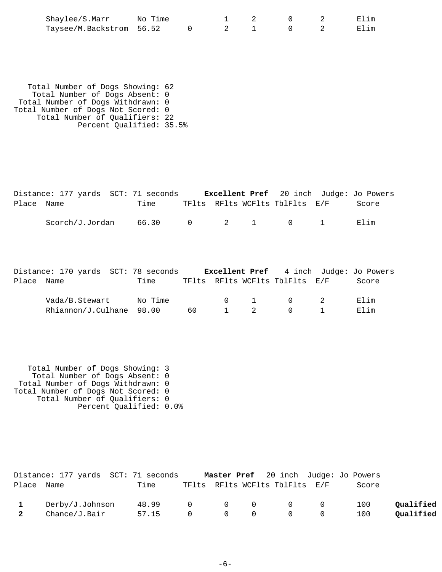| Shaylee/S.Marr           | No Time |  |  |  |
|--------------------------|---------|--|--|--|
| Taysee/M.Backstrom 56.52 |         |  |  |  |

 Total Number of Dogs Showing: 62 Total Number of Dogs Absent: 0 Total Number of Dogs Withdrawn: 0 Total Number of Dogs Not Scored: 0 Total Number of Qualifiers: 22 Percent Qualified: 35.5%

|            |  | Distance: 177 yards SCT: 71 seconds Excellent Pref 20 inch Judge: Jo Powers                                       |  |  |       |
|------------|--|-------------------------------------------------------------------------------------------------------------------|--|--|-------|
| Place Name |  | Time TFIts RFIts WCFIts TblFIts E/F                                                                               |  |  | Score |
|            |  | $Scorch/J.Jordan$ 66.30 0 2 1 0 1                                                                                 |  |  | Elim  |
| Place Name |  | Distance: 170 yards SCT: 78 seconds Excellent Pref 4 inch Judge: Jo Powers<br>Time TFIts RFIts WCFIts TblFlts E/F |  |  | Score |

| Vada/B.Stewart           | No Time |     |  |  | Elim |
|--------------------------|---------|-----|--|--|------|
| Rhiannon/J.Culhane 98.00 |         | 60. |  |  | Flim |

 Total Number of Dogs Showing: 3 Total Number of Dogs Absent: 0 Total Number of Dogs Withdrawn: 0 Total Number of Dogs Not Scored: 0 Total Number of Qualifiers: 0 Percent Qualified: 0.0%

|                         | Distance: 177 yards SCT: 71 seconds |                 |  |                                | <b>Master Pref</b> 20 inch Judge: Jo Powers |           |
|-------------------------|-------------------------------------|-----------------|--|--------------------------------|---------------------------------------------|-----------|
| Place Name              |                                     | Time            |  | TFlts RFlts WCFlts TblFlts E/F | Score                                       |           |
|                         | Derby/J.Johnson                     | 48.99 0 0 0 0 0 |  |                                | 100                                         | Qualified |
| $\overline{\mathbf{2}}$ | Chance/J.Bair                       | 57.15 0 0 0 0 0 |  |                                | 100                                         | Qualified |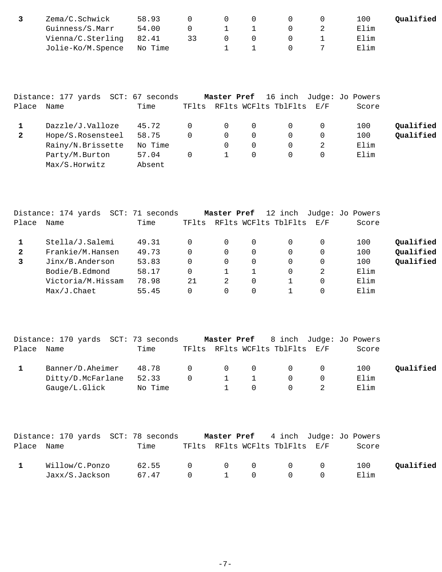| Zema/C.Schwick            | 58.93 |    |          |             |  | 100  | Oualified |
|---------------------------|-------|----|----------|-------------|--|------|-----------|
| Guinness/S.Marr           | 54.00 |    |          | $1 \quad 1$ |  | Elim |           |
| Vienna/C.Sterling         | 82.41 | 33 | $\Omega$ | $\Omega$    |  | Elim |           |
| Jolie-Ko/M.Spence No Time |       |    |          |             |  | Elim |           |

|              | Distance: 177 yards SCT: 67 seconds |         |       | Master Pref |          |                          |   | 16 inch Judge: Jo Powers |           |
|--------------|-------------------------------------|---------|-------|-------------|----------|--------------------------|---|--------------------------|-----------|
| Place        | Name                                | Time    | TFlts |             |          | RFlts WCFlts TblFlts E/F |   | Score                    |           |
|              | Dazzle/J.Valloze                    | 45.72   |       | 0           | $\Omega$ |                          | 0 | 100                      | Qualified |
| $\mathbf{2}$ | Hope/S.Rosensteel                   | 58.75   | 0     | $\Omega$    | $\Omega$ | $\Omega$                 | 0 | 100                      | Qualified |
|              | Rainy/N.Brissette                   | No Time |       |             | $\Omega$ |                          | 2 | Elim                     |           |
|              | Party/M.Burton                      | 57.04   | 0     |             | $\Omega$ |                          | 0 | Elim                     |           |
|              | Max/S.Horwitz                       | Absent  |       |             |          |                          |   |                          |           |

|       | Distance: 174 yards<br>SCT: | 71 seconds |          | Master Pref |   | 12 inch              |     | Judge: Jo Powers |           |
|-------|-----------------------------|------------|----------|-------------|---|----------------------|-----|------------------|-----------|
| Place | Name                        | Time       | TFlts    |             |   | RFlts WCFlts TblFlts | E/F | Score            |           |
|       | Stella/J.Salemi             | 49.31      |          | $\Omega$    | 0 |                      | 0   | 100              | Qualified |
| 2     | Frankie/M.Hansen            | 49.73      | $\Omega$ | 0           | 0 |                      | 0   | 100              | Qualified |
|       | Jinx/B.Anderson             | 53.83      | $\Omega$ | 0           | 0 |                      | 0   | 100              | Qualified |
|       | Bodie/B.Edmond              | 58.17      | $\Omega$ |             |   |                      | 2   | Elim             |           |
|       | Victoria/M.Hissam           | 78.98      | 21       | 2           | 0 |                      | 0   | Elim             |           |
|       | Max/J.Chaet                 | 55.45      |          | 0           |   |                      |     | Elim             |           |

|       | Distance: 170 yards SCT: 73 seconds |         |                |                                                    |                                |          | Master Pref 8 inch Judge: Jo Powers |           |
|-------|-------------------------------------|---------|----------------|----------------------------------------------------|--------------------------------|----------|-------------------------------------|-----------|
| Place | Name                                | Time    |                |                                                    | TFlts RFlts WCFlts TblFlts E/F |          | Score                               |           |
|       | Banner/D.Aheimer                    | 48.78   | $\overline{0}$ | $\begin{array}{ccc} & & 0 & \quad & 0 \end{array}$ | $\Omega$                       | $\Omega$ | 100                                 | Qualified |
|       | Ditty/D.McFarlane                   | 52.33   |                |                                                    |                                |          | Elim                                |           |
|       | Gauge/L.Glick                       | No Time |                |                                                    | $\Omega$                       |          | Elim                                |           |

|            | Distance: 170 yards SCT: 78 seconds |                 |  |                                |              | <b>Master Pref</b> 4 inch Judge: Jo Powers |           |
|------------|-------------------------------------|-----------------|--|--------------------------------|--------------|--------------------------------------------|-----------|
| Place Name |                                     | Time            |  | TFlts RFlts WCFlts TblFlts E/F |              | Score                                      |           |
|            | Willow/C.Ponzo                      | 62.55 0 0 0 0 0 |  |                                |              | 100                                        | Qualified |
|            | Jaxx/S.Jackson                      | 67.47 0 1 0     |  | $\bigcirc$                     | <sup>O</sup> | Elim                                       |           |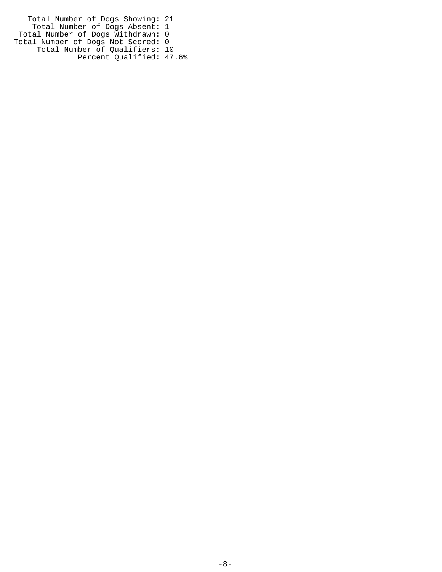Total Number of Dogs Showing: 21 Total Number of Dogs Absent: 1 Total Number of Dogs Withdrawn: 0 Total Number of Dogs Not Scored: 0 Total Number of Qualifiers: 10 Percent Qualified: 47.6%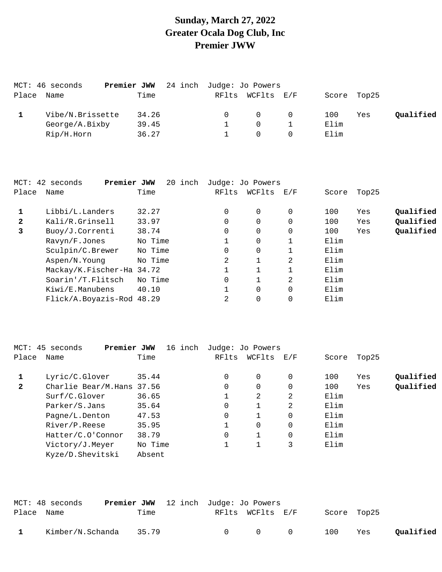## **Sunday, March 27, 2022 Greater Ocala Dog Club, Inc Premier JWW**

| Name           | Time            |                                 |          |          |                                              |     |             |
|----------------|-----------------|---------------------------------|----------|----------|----------------------------------------------|-----|-------------|
|                | 34.26           |                                 | $\Omega$ | $\Omega$ | 100                                          | Yes | Qualified   |
| George/A.Bixby | 39.45           |                                 | $\Omega$ |          | Elim                                         |     |             |
| Rip/H.Horn     | 36.27           |                                 |          |          | Elim                                         |     |             |
|                | MCT: 46 seconds | Premier JWW<br>Vibe/N.Brissette |          |          | 24 inch Judge: Jo Powers<br>RFlts WCFlts E/F |     | Score Top25 |

|              | MCT: 42 seconds<br>Premier JWW | 20 inch |          | Judge: Jo Powers |          |       |       |           |
|--------------|--------------------------------|---------|----------|------------------|----------|-------|-------|-----------|
| Place        | Name                           | Time    | RFlts    | WCFlts           | E/F      | Score | Top25 |           |
|              | Libbi/L.Landers                | 32.27   | $\Omega$ | $\Omega$         | $\Omega$ | 100   | Yes   | Qualified |
| $\mathbf{2}$ | Kali/R.Grinsell                | 33.97   | $\Omega$ | 0                | $\Omega$ | 100   | Yes   | Qualified |
| 3            | Buoy/J.Correnti                | 38.74   | $\Omega$ | 0                | $\Omega$ | 100   | Yes   | Qualified |
|              | Ravyn/F.Jones                  | No Time |          | 0                |          | Elim  |       |           |
|              | Sculpin/C.Brewer               | No Time | $\Omega$ | $\Omega$         |          | Elim  |       |           |
|              | Aspen/N.Young                  | No Time | 2        |                  | 2        | Elim  |       |           |
|              | Mackay/K.Fischer-Ha 34.72      |         |          |                  |          | Elim  |       |           |
|              | Soarin'/T.Flitsch              | No Time | $\Omega$ |                  | 2        | Elim  |       |           |
|              | Kiwi/E.Manubens                | 40.10   |          | 0                | $\Omega$ | Elim  |       |           |
|              | Flick/A.Boyazis-Rod 48.29      |         | 2        | 0                | 0        | Elim  |       |           |
|              |                                |         |          |                  |          |       |       |           |

|                | MCT: 45 seconds<br>Premier JWW | 16 inch |          | Judge: Jo Powers |          |       |       |           |
|----------------|--------------------------------|---------|----------|------------------|----------|-------|-------|-----------|
| Place          | Name                           | Time    | RFlts    | WCFlts           | E/F      | Score | Top25 |           |
|                | Lyric/C.Glover                 | 35.44   | 0        | $\Omega$         | $\Omega$ | 100   | Yes   | Qualified |
| $\overline{2}$ | Charlie Bear/M.Hans 37.56      |         | $\Omega$ | $\Omega$         | $\Omega$ | 100   | Yes   | Oualified |
|                | Surf/C.Glover                  | 36.65   |          | 2                | 2        | Elim  |       |           |
|                | Parker/S.Jans                  | 35.64   | 0        | 1                | 2        | Elim  |       |           |
|                | Pagne/L.Denton                 | 47.53   | 0        | 1                | $\Omega$ | Elim  |       |           |
|                | River/P.Reese                  | 35.95   |          | $\Omega$         | $\Omega$ | Elim  |       |           |
|                | Hatter/C.O'Connor              | 38.79   | 0        | 1                | $\Omega$ | Elim  |       |           |
|                | Victory/J.Meyer                | No Time |          |                  | 3        | Elim  |       |           |
|                | Kyze/D.Shevitski               | Absent  |          |                  |          |       |       |           |

|            | MCT: 48 seconds  | <b>Premier JWW</b> 12 inch Judge: Jo Powers |               |                  |                |             |     |           |
|------------|------------------|---------------------------------------------|---------------|------------------|----------------|-------------|-----|-----------|
| Place Name |                  | Time                                        |               | RFlts WCFlts E/F |                | Score Top25 |     |           |
|            | Kimber/N.Schanda | 35.79                                       | $\cap$ $\cap$ | $\cap$           | $\overline{0}$ | 100         | Yes | Qualified |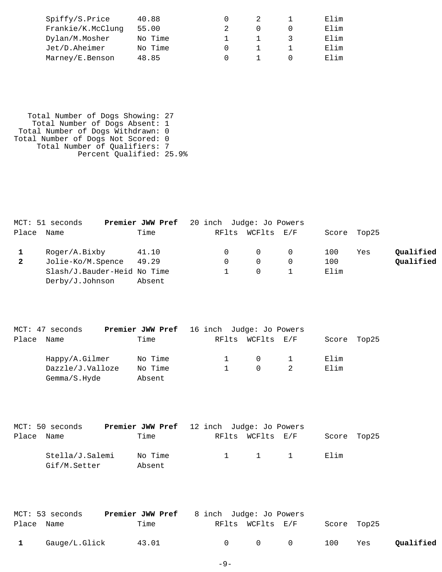| Spiffy/S.Price    | 40.88   |  | Elim |
|-------------------|---------|--|------|
| Frankie/K.McClung | 55.00   |  | Elim |
| Dylan/M.Mosher    | No Time |  | Elim |
| Jet/D.Aheimer     | No Time |  | Elim |
| Marney/E.Benson   | 48.85   |  | Elim |

 Total Number of Dogs Showing: 27 Total Number of Dogs Absent: 1 Total Number of Dogs Withdrawn: 0 Total Number of Dogs Not Scored: 0 Total Number of Qualifiers: 7 Percent Qualified: 25.9%

|              | MCT: 51 seconds             | <b>Premier JWW Pref</b> 20 inch Judge: Jo Powers |                  |      |             |           |
|--------------|-----------------------------|--------------------------------------------------|------------------|------|-------------|-----------|
|              | Place Name                  | Time                                             | RFlts WCFlts E/F |      | Score Top25 |           |
|              | Roger/A.Bixby               | 41.10                                            | $\Omega$         | 100  | Yes         | Qualified |
| $\mathbf{2}$ | Jolie-Ko/M.Spence           | 49.29                                            | $\Omega$         | 100  |             | Qualified |
|              | Slash/J.Bauder-Heid No Time |                                                  | $\Omega$         | Elim |             |           |
|              | Derby/J.Johnson             | Absent                                           |                  |      |             |           |

|       | MCT: 47 seconds  | <b>Premier JWW Pref</b> 16 inch Judge: Jo Powers |  |                                 |       |       |
|-------|------------------|--------------------------------------------------|--|---------------------------------|-------|-------|
| Place | Name             | Time                                             |  | RFlts WCFlts E/F                | Score | Top25 |
|       | Happy/A.Gilmer   | No Time                                          |  | $\begin{matrix}0&1\end{matrix}$ | Elim  |       |
|       | Dazzle/J.Valloze | No Time                                          |  | $\Omega$                        | Elim  |       |
|       | Gemma/S.Hyde     | Absent                                           |  |                                 |       |       |

|            | MCT: 50 seconds                 | <b>Premier JWW Pref</b> 12 inch Judge: Jo Powers |  |                     |             |  |
|------------|---------------------------------|--------------------------------------------------|--|---------------------|-------------|--|
| Place Name |                                 | Time                                             |  | RFlts WCFlts E/F    | Score Top25 |  |
|            | Stella/J.Salemi<br>Gif/M.Setter | No Time<br>Absent                                |  | $1 \quad 1 \quad 1$ | Elim        |  |

|              | MCT: 53 seconds | <b>Premier JWW Pref</b> 8 inch Judge: Jo Powers |        |                  |                   |             |     |           |
|--------------|-----------------|-------------------------------------------------|--------|------------------|-------------------|-------------|-----|-----------|
| Place Name   |                 | Time                                            |        | RFlts WCFlts E/F |                   | Score Top25 |     |           |
| $\mathbf{1}$ | Gauge/L.Glick   | 43.01                                           | $\cap$ |                  | $\Omega$ $\Omega$ | 100         | Yes | Qualified |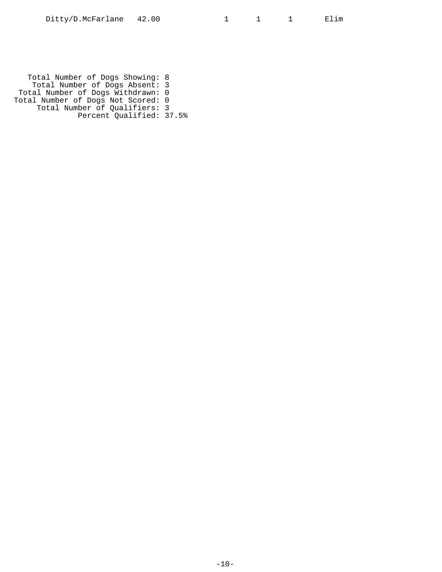Total Number of Dogs Showing: 8 Total Number of Dogs Absent: 3 Total Number of Dogs Withdrawn: 0 Total Number of Dogs Not Scored: 0 Total Number of Qualifiers: 3 Percent Qualified: 37.5%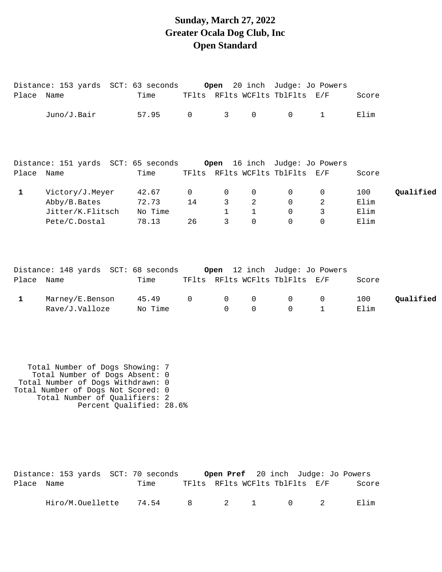# **Sunday, March 27, 2022 Greater Ocala Dog Club, Inc Open Standard**

|              | Distance: 153 yards SCT: 63 seconds                                       |                                    |                         | Open                        |                         | 20 inch Judge: Jo Powers                        |                         |                             |           |
|--------------|---------------------------------------------------------------------------|------------------------------------|-------------------------|-----------------------------|-------------------------|-------------------------------------------------|-------------------------|-----------------------------|-----------|
| Place Name   |                                                                           | Time                               |                         |                             |                         | TFlts RFlts WCFlts TblFlts E/F                  |                         | Score                       |           |
|              | Juno/J.Bair                                                               | 57.95                              | $\mathbf 0$             | 3                           | 0                       | $\mathsf{O}$                                    | $\mathbf{1}$            | Elim                        |           |
|              | Distance: 151 yards SCT: 65 seconds Open 16 inch Judge: Jo Powers         |                                    |                         |                             |                         |                                                 |                         |                             |           |
| Place Name   |                                                                           | Time                               |                         |                             |                         | TFlts RFlts WCFlts TblFlts E/F                  |                         | Score                       |           |
| $\mathbf{1}$ | Victory/J.Meyer<br>Abby/B.Bates<br>Jitter/K.Flitsch<br>Pete/C.Dostal      | 42.67<br>72.73<br>No Time<br>78.13 | $\mathbf 0$<br>14<br>26 | 0<br>3<br>$\mathbf{1}$<br>3 | 0<br>2<br>1<br>$\Omega$ | $\mathbf 0$<br>$\Omega$<br>$\Omega$<br>$\Omega$ | 0<br>2<br>3<br>$\Omega$ | 100<br>Elim<br>Elim<br>Elim | Qualified |
| Place        | Distance: 148 yards SCT: 68 seconds Open 12 inch Judge: Jo Powers<br>Name | Time                               |                         |                             |                         | TFlts RFlts WCFlts TblFlts E/F                  |                         | Score                       |           |
| $\mathbf 1$  | Marney/E.Benson<br>Rave/J.Valloze                                         | 45.49<br>No Time                   | 0                       | $\mathbf 0$<br>$\Omega$     | 0<br>$\Omega$           | $\mathsf{O}$<br>$\Omega$                        | 0<br>$\mathbf{1}$       | 100<br>Elim                 | Qualified |

| Total Number of Dogs Showing: 7    |
|------------------------------------|
| Total Number of Dogs Absent: 0     |
| Total Number of Dogs Withdrawn: 0  |
| Total Number of Dogs Not Scored: 0 |
| Total Number of Qualifiers: 2      |
| Percent Qualified: 28.6%           |
|                                    |

|            | Distance: 153 yards SCT: 70 seconds |      |  |           | <b>Open Pref</b> 20 inch Judge: Jo Powers |       |
|------------|-------------------------------------|------|--|-----------|-------------------------------------------|-------|
| Place Name |                                     | Time |  |           | TFlts RFlts WCFlts TblFlts E/F            | Score |
|            | Hiro/M.Ouellette 74.54              |      |  | 8 2 1 0 2 |                                           | Elim  |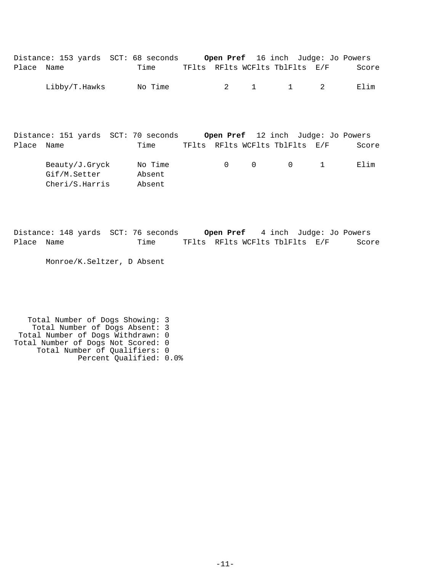|            | Distance: 153 yards SCT: 68 seconds                                    |                             |              |              |                                | <b>Open Pref</b> 16 inch Judge: Jo Powers |       |
|------------|------------------------------------------------------------------------|-----------------------------|--------------|--------------|--------------------------------|-------------------------------------------|-------|
| Place      | Name                                                                   | Time                        |              |              | TFlts RFlts WCFlts TblFlts E/F |                                           | Score |
|            | Libby/T.Hawks                                                          | No Time                     | $\mathbf{2}$ | $\mathbf{1}$ | $\mathbf{1}$                   | 2                                         | Elim  |
|            | Distance: 151 yards SCT: 70 seconds Open Pref 12 inch Judge: Jo Powers |                             |              |              |                                |                                           |       |
| Place Name |                                                                        | Time                        |              |              | TFlts RFlts WCFlts TblFlts E/F |                                           | Score |
|            | Beauty/J.Gryck<br>Gif/M.Setter<br>Cheri/S.Harris                       | No Time<br>Absent<br>Absent | $\Omega$     | 0            | $\mathbf 0$                    | $\mathbf{1}$                              | Elim  |

Distance: 148 yards SCT: 76 seconds **Open Pref** 4 inch Judge: Jo Powers Place Name Time TFlts RFlts WCFlts TblFlts E/F Score

Monroe/K.Seltzer, D Absent

 Total Number of Dogs Showing: 3 Total Number of Dogs Absent: 3 Total Number of Dogs Withdrawn: 0 Total Number of Dogs Not Scored: 0 Total Number of Qualifiers: 0 Percent Qualified: 0.0%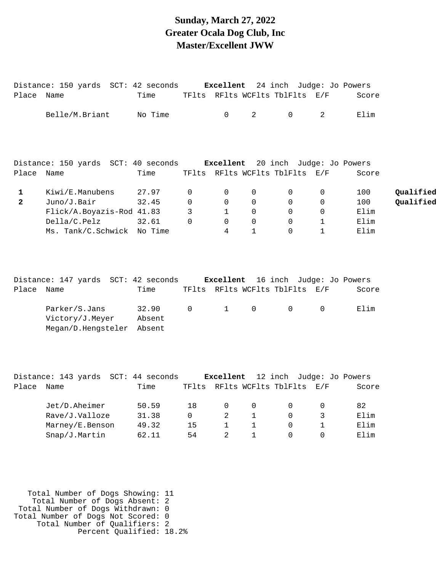#### **Sunday, March 27, 2022 Greater Ocala Dog Club, Inc Master/Excellent JWW**

|                | Distance: 150 yards SCT: 42 seconds Excellent 24 inch Judge: Jo Powers                                                                                                                                                 |                 |              |                |                        |                                |                |       |           |
|----------------|------------------------------------------------------------------------------------------------------------------------------------------------------------------------------------------------------------------------|-----------------|--------------|----------------|------------------------|--------------------------------|----------------|-------|-----------|
| Place Name     |                                                                                                                                                                                                                        | Time            |              |                |                        | TFlts RFlts WCFlts TblFlts E/F |                | Score |           |
|                | Belle/M.Briant                                                                                                                                                                                                         | No Time         |              | $\overline{0}$ | $2 \quad \blacksquare$ | $\mathsf{O}$                   | $\overline{a}$ | Elim  |           |
|                | Distance: 150 yards SCT: 40 seconds Excellent 20 inch Judge: Jo Powers                                                                                                                                                 |                 |              |                |                        |                                |                |       |           |
| Place Name     |                                                                                                                                                                                                                        | Time            |              |                |                        | TFlts RFlts WCFlts TblFlts E/F |                | Score |           |
| $\mathbf{1}$   | Kiwi/E.Manubens                                                                                                                                                                                                        | 27.97           | $\mathbf 0$  | 0              | 0                      | $\mathbf 0$                    | $\mathbf 0$    | 100   | Qualified |
| $\overline{2}$ | Juno/J.Bair                                                                                                                                                                                                            | 32.45           | $\Omega$     | $\Omega$       | $\Omega$               | $\Omega$                       | $\Omega$       | 100   | Qualified |
|                | Flick/A.Boyazis-Rod 41.83                                                                                                                                                                                              |                 | $\mathbf{3}$ | $\mathbf{1}$   | $\Omega$               | $\mathsf{O}$                   | $\mathbf 0$    | Elim  |           |
|                | Della/C.Pelz                                                                                                                                                                                                           | 32.61           | $\Omega$     | $\Omega$       | $\Omega$               | $\Omega$                       | $\mathbf{1}$   | Elim  |           |
|                | Ms. Tank/C.Schwick No Time                                                                                                                                                                                             |                 |              | $\overline{4}$ | $\mathbf{1}$           | $\Omega$                       | $\mathbf{1}$   | Elim  |           |
| Place Name     | Distance: 147 yards SCT: 42 seconds Excellent 16 inch Judge: Jo Powers                                                                                                                                                 | Time            |              |                |                        | TFlts RFlts WCFlts TblFlts E/F |                | Score |           |
|                | Parker/S.Jans<br>Victory/J.Meyer<br>Megan/D.Hengsteler Absent                                                                                                                                                          | 32.90<br>Absent | $\mathsf{O}$ | 1              | $\overline{0}$         | $\mathsf{O}$                   | $\overline{0}$ | Elim  |           |
|                | Distance: 143 yards SCT: 44 seconds Excellent 12 inch Judge: Jo Powers<br>$\mathbb{R}^2$ , and $\mathbb{R}^2$ , and $\mathbb{R}^2$ , and $\mathbb{R}^2$ , and $\mathbb{R}^2$ , and $\mathbb{R}^2$ , and $\mathbb{R}^2$ |                 |              |                |                        |                                |                |       |           |

| Place | Name            | Time  | TF1ts |          |          | RFlts WCFlts TblFlts | E/F | Score |
|-------|-----------------|-------|-------|----------|----------|----------------------|-----|-------|
|       | Jet/D.Aheimer   | 50.59 | 1 R   | $\Omega$ | $\Omega$ |                      |     | 82    |
|       | Rave/J.Valloze  | 31.38 |       |          |          |                      |     | Elim  |
|       | Marney/E.Benson | 49.32 | 15    |          |          |                      |     | Elim  |
|       | Snap/J.Martin   | 62.11 | 54    |          |          |                      |     | Elim  |
|       |                 |       |       |          |          |                      |     |       |

 Total Number of Dogs Showing: 11 Total Number of Dogs Absent: 2 Total Number of Dogs Withdrawn: 0 Total Number of Dogs Not Scored: 0 Total Number of Qualifiers: 2 Percent Qualified: 18.2%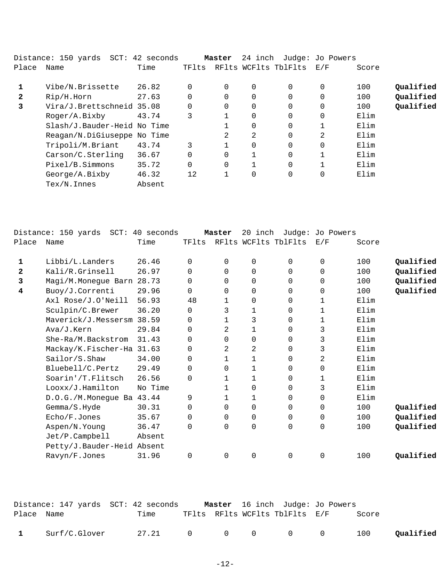|              | Distance: 150 yards  SCT: 42 seconds |        |          | Master   | 24 inch        |                      | Judge: Jo Powers |       |           |
|--------------|--------------------------------------|--------|----------|----------|----------------|----------------------|------------------|-------|-----------|
| Place        | Name                                 | Time   | TFlts    |          |                | RFlts WCFlts TblFlts | E/F              | Score |           |
|              | Vibe/N.Brissette                     | 26.82  |          | 0        | $\Omega$       | $\Omega$             | $\Omega$         | 100   | Qualified |
| $\mathbf{2}$ | Rip/H.Horn                           | 27.63  | $\Omega$ | 0        | 0              | $\Omega$             |                  | 100   | Qualified |
| 3            | Vira/J.Brettschneid 35.08            |        |          |          | $\overline{0}$ | 0                    | 0                | 100   | Qualified |
|              | Roger/A.Bixby                        | 43.74  | 3        |          | $\Omega$       | $\Omega$             | $\Omega$         | Elim  |           |
|              | Slash/J.Bauder-Heid No Time          |        |          |          | $\Omega$       | $\Omega$             |                  | Elim  |           |
|              | Reagan/N.DiGiuseppe No Time          |        |          | 2        | 2              | $\Omega$             | $\overline{2}$   | Elim  |           |
|              | Tripoli/M.Briant                     | 43.74  | 3        |          | $\Omega$       | $\Omega$             | $\Omega$         | Elim  |           |
|              | Carson/C.Sterling                    | 36.67  | $\Omega$ | 0        |                | $\Omega$             | 1                | Elim  |           |
|              | Pixel/B.Simmons                      | 35.72  | $\Omega$ | $\Omega$ |                | $\Omega$             |                  | Elim  |           |
|              | George/A.Bixby                       | 46.32  | 12       |          | $\mathbf 0$    | 0                    | 0                | Elim  |           |
|              | $Text/N$ . Innes                     | Absent |          |          |                |                      |                  |       |           |

|       | Distance: 150 yards<br>$SCT$ : | 40 seconds |          | Master       | 20 inch | Judge:               | Jo Powers |       |           |
|-------|--------------------------------|------------|----------|--------------|---------|----------------------|-----------|-------|-----------|
| Place | Name                           | Time       | TFlts    |              |         | RFlts WCFlts TblFlts | E/F       | Score |           |
| 1     | Libbi/L.Landers                | 26.46      | $\Omega$ | 0            | 0       | 0                    | 0         | 100   | Qualified |
| 2     | Kali/R.Grinsell                | 26.97      | 0        | $\Omega$     | 0       | 0                    | 0         | 100   | Qualified |
| 3     | Magi/M.Monegue Barn            | 28.73      | 0        | $\Omega$     | 0       | $\Omega$             | 0         | 100   | Qualified |
| 4     | Buoy/J.Correnti                | 29.96      | $\Omega$ | $\Omega$     | 0       | 0                    | 0         | 100   | Qualified |
|       | Axl Rose/J.O'Neill             | 56.93      | 48       | $\mathbf{1}$ | 0       | $\Omega$             | 1         | Elim  |           |
|       | Sculpin/C.Brewer               | 36.20      | 0        | 3            | 1       | 0                    | 1         | Elim  |           |
|       | Maverick/J.Messersm 38.59      |            | 0        | $\mathbf{1}$ | 3       | 0                    | 1         | Elim  |           |
|       | Ava/J.Kern                     | 29.84      | 0        | 2            | 1       | $\Omega$             | 3         | Elim  |           |
|       | She-Ra/M.Backstrom             | 31.43      | 0        | $\mathbf 0$  | 0       | 0                    | 3         | Elim  |           |
|       | Mackay/K.Fischer-Ha 31.63      |            | 0        | 2            | 2       | 0                    | 3         | Elim  |           |
|       | Sailor/S.Shaw                  | 34.00      | 0        | $\mathbf{1}$ | 1       | 0                    | 2         | Elim  |           |
|       | Bluebell/C.Pertz               | 29.49      | $\Omega$ | 0            | 1       | 0                    | 0         | Elim  |           |
|       | Soarin'/T.Flitsch              | 26.56      | $\Omega$ |              | 1       | 0                    | 1         | Elim  |           |
|       | Looxx/J.Hamilton               | No Time    |          | 1            | 0       | $\Omega$             | 3         | Elim  |           |
|       | D.O.G./M.Monegue Ba 43.44      |            | 9        |              | 1       | $\Omega$             | 0         | Elim  |           |
|       | Gemma/S.Hyde                   | 30.31      | 0        | $\mathbf 0$  | 0       | 0                    | 0         | 100   | Qualified |
|       | Echo/F.Jones                   | 35.67      | 0        | 0            | 0       | 0                    | 0         | 100   | Qualified |
|       | Aspen/N.Young                  | 36.47      | 0        | 0            | 0       | 0                    | 0         | 100   | Qualified |
|       | Jet/P.Campbell                 | Absent     |          |              |         |                      |           |       |           |
|       | Petty/J.Bauder-Heid Absent     |            |          |              |         |                      |           |       |           |
|       | Ravyn/F.Jones                  | 31.96      | 0        | $\Omega$     | 0       | $\overline{0}$       | 0         | 100   | Qualified |
|       |                                |            |          |              |         |                      |           |       |           |

|              |               | Distance: 147 yards  SCT: 42 seconds | <b>Master</b> 16 inch Judge: Jo Powers |  |       |           |
|--------------|---------------|--------------------------------------|----------------------------------------|--|-------|-----------|
| Place Name   |               | Time                                 | TFlts RFlts WCFlts TblFlts E/F         |  | Score |           |
| $\mathbf{1}$ | Surf/C.Glover |                                      | 27.21 0 0 0 0 0                        |  | 100   | Qualified |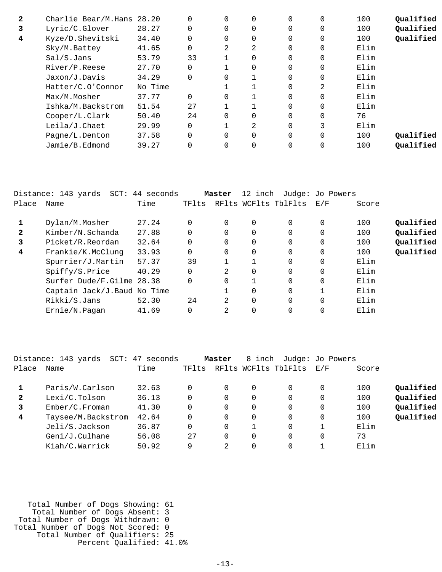| $\mathbf{2}$ | Charlie Bear/M.Hans 28.20 |         |     | 0        | $\Omega$ | 0        | $\Omega$ | 100  | Qualified |
|--------------|---------------------------|---------|-----|----------|----------|----------|----------|------|-----------|
| 3            | Lyric/C.Glover            | 28.27   |     | $\Omega$ | $\Omega$ | $\Omega$ | $\Omega$ | 100  | Qualified |
| 4            | Kyze/D.Shevitski          | 34.40   |     | $\Omega$ | $\Omega$ | $\Omega$ | $\Omega$ | 100  | Qualified |
|              | Sky/M.Battey              | 41.65   |     | 2        | 2        | $\Omega$ | 0        | Elim |           |
|              | Sal/S.Jans                | 53.79   | 33  |          | $\Omega$ | 0        | $\Omega$ | Elim |           |
|              | River/P.Reese             | 27.70   |     |          | $\Omega$ | $\Omega$ | $\Omega$ | Elim |           |
|              | Jaxon/J.Davis             | 34.29   |     | $\Omega$ |          | $\Omega$ | $\Omega$ | Elim |           |
|              | Hatter/C.O'Connor         | No Time |     |          |          | $\Omega$ | 2        | Elim |           |
|              | Max/M.Mosher              | 37.77   |     | 0        |          | $\Omega$ | $\Omega$ | Elim |           |
|              | Ishka/M.Backstrom         | 51.54   | 2.7 |          |          | $\Omega$ | $\Omega$ | Elim |           |
|              | Cooper/L.Clark            | 50.40   | 24  | $\Omega$ | $\Omega$ | $\Omega$ | $\Omega$ | 76   |           |
|              | Leila/J.Chaet             | 29.99   |     |          | 2        | $\Omega$ | 3        | Elim |           |
|              | Pagne/L.Denton            | 37.58   |     | 0        | $\Omega$ | $\Omega$ | $\Omega$ | 100  | Oualified |
|              | Jamie/B.Edmond            | 39.27   |     |          | 0        | 0        | $\Omega$ | 100  | Oualified |
|              |                           |         |     |          |          |          |          |      |           |

|              | Distance: 143 yards SCT: 44 seconds |       |          | Master         | 12 inch        |                      | Judge: Jo Powers |       |           |
|--------------|-------------------------------------|-------|----------|----------------|----------------|----------------------|------------------|-------|-----------|
| Place        | Name                                | Time  | TFlts    |                |                | RFlts WCFlts TblFlts | E/F              | Score |           |
|              | Dylan/M.Mosher                      | 27.24 | $\Omega$ | 0              | 0              | $\Omega$             | 0                | 100   | Qualified |
| $\mathbf{2}$ | Kimber/N.Schanda                    | 27.88 | $\Omega$ |                | 0              | $\Omega$             | 0                | 100   | Qualified |
| 3            | Picket/R.Reordan                    | 32.64 | $\Omega$ | $\Omega$       | 0              | $\Omega$             | $\Omega$         | 100   | Qualified |
| 4            | Frankie/K.McClung                   | 33.93 | 0        | 0              | $\overline{0}$ | $\Omega$             | $\mathbf 0$      | 100   | Qualified |
|              | Spurrier/J.Martin                   | 57.37 | 39       |                |                | 0                    | 0                | Elim  |           |
|              | Spiffy/S.Price                      | 40.29 | $\Omega$ | 2              | $\overline{0}$ | $\Omega$             | 0                | Elim  |           |
|              | Surfer Dude/F.Gilme 28.38           |       | $\Omega$ |                |                | $\Omega$             | 0                | Elim  |           |
|              | Captain Jack/J. Baud No Time        |       |          |                | $\Omega$       | $\Omega$             |                  | Elim  |           |
|              | Rikki/S.Jans                        | 52.30 | 24       | $\mathfrak{D}$ | $\Omega$       | $\Omega$             | $\Omega$         | Elim  |           |
|              | Ernie/N.Pagan                       | 41.69 | $\Omega$ | 2              | $\Omega$       | 0                    |                  | Elim  |           |

|                | Distance: 143 yards<br>$SCT$ : | 47 seconds |       | Master   | 8 inch   |                      | Judge: Jo Powers |       |           |
|----------------|--------------------------------|------------|-------|----------|----------|----------------------|------------------|-------|-----------|
| Place          | Name                           | Time       | TFlts |          |          | RFlts WCFlts TblFlts | E/F              | Score |           |
|                | Paris/W.Carlson                | 32.63      |       | 0        | 0        | 0                    | 0                | 100   | Qualified |
| $\mathbf{2}$   | Lexi/C.Tolson                  | 36.13      |       | $\Omega$ | 0        | 0                    |                  | 100   | Qualified |
| 3              | Ember/C.Froman                 | 41.30      |       | $\Omega$ | 0        | 0                    | 0                | 100   | Qualified |
| $\overline{4}$ | Taysee/M.Backstrom             | 42.64      |       | $\Omega$ | 0        | $\Omega$             | 0                | 100   | Qualified |
|                | Jeli/S.Jackson                 | 36.87      |       | $\Omega$ |          | 0                    |                  | Elim  |           |
|                | Geni/J.Culhane                 | 56.08      | 27    | $\Omega$ | $\Omega$ | 0                    | 0                | 73    |           |
|                | Kiah/C.Warrick                 | 50.92      | 9     | 2        | 0        | 0                    |                  | Elim  |           |

 Total Number of Dogs Showing: 61 Total Number of Dogs Absent: 3 Total Number of Dogs Withdrawn: 0 Total Number of Dogs Not Scored: 0 Total Number of Qualifiers: 25 Percent Qualified: 41.0%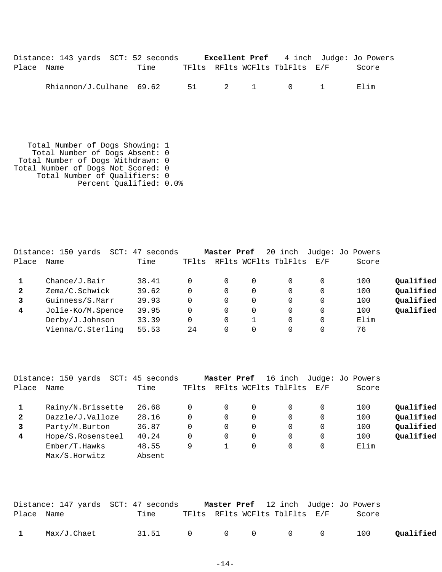|            | Distance: 143 yards SCT: 52 seconds     |      |  |                                | <b>Excellent Pref</b> 4 inch Judge: Jo Powers |
|------------|-----------------------------------------|------|--|--------------------------------|-----------------------------------------------|
| Place Name |                                         | Time |  | TFlts RFlts WCFlts TblFlts E/F | Score                                         |
|            | Rhiannon/J.Culhane $69.62$ 51 $2$ 1 0 1 |      |  |                                | Flim                                          |

 Total Number of Dogs Showing: 1 Total Number of Dogs Absent: 0 Total Number of Dogs Withdrawn: 0 Total Number of Dogs Not Scored: 0 Total Number of Qualifiers: 0 Percent Qualified: 0.0%

|              | Distance: 150 yards | 47 seconds<br>SCT: |       | Master Pref |   | 20 inch              |     | Judge: Jo Powers |           |
|--------------|---------------------|--------------------|-------|-------------|---|----------------------|-----|------------------|-----------|
| Place        | Name                | Time               | TFlts |             |   | RFlts WCFlts TblFlts | E/F | Score            |           |
|              | Change/J.Bair       | 38.41              |       |             |   |                      |     | 100              | Oualified |
| $\mathbf{2}$ | Zema/C.Schwick      | 39.62              |       | 0           |   | 0                    | 0   | 100              | Qualified |
|              | Guinness/S.Marr     | 39.93              |       | 0           | 0 |                      | 0   | 100              | Qualified |
| 4            | Jolie-Ko/M.Spence   | 39.95              | 0     | 0           |   | 0                    |     | 100              | Qualified |
|              | Derby/J.Johnson     | 33.39              | 0     | 0           |   | 0                    | 0   | Elim             |           |
|              | Vienna/C.Sterling   | 55.53              | 24    | 0           |   |                      |     | 76               |           |

|              | Distance: 150 yards<br>SCT: | 45 seconds |       | Master Pref | 16 inch              |                   | Judge: Jo Powers |           |
|--------------|-----------------------------|------------|-------|-------------|----------------------|-------------------|------------------|-----------|
| Place        | Name                        | Time       | TFlts |             | RFlts WCFlts TblFlts | $\rm E$ / $\rm F$ | Score            |           |
|              | Rainy/N.Brissette           | 26.68      | 0     | 0           |                      |                   | 100              | Qualified |
| $\mathbf{2}$ | Dazzle/J.Valloze            | 28.16      | 0     | 0           |                      |                   | 100              | Qualified |
| 3            | Party/M.Burton              | 36.87      | 0     | 0           |                      |                   | 100              | Qualified |
| 4            | Hope/S.Rosensteel           | 40.24      | 0     | 0           |                      |                   | 100              | Oualified |
|              | Ember/T.Hawks               | 48.55      | 9     |             |                      |                   | Elim             |           |
|              | Max/S.Horwitz               | Absent     |       |             |                      |                   |                  |           |
|              |                             |            |       |             |                      |                   |                  |           |

|              |             | Distance: 147 yards SCT: 47 seconds |  |                                |  | <b>Master Pref</b> 12 inch Judge: Jo Powers |           |
|--------------|-------------|-------------------------------------|--|--------------------------------|--|---------------------------------------------|-----------|
| Place Name   |             | Time                                |  | TFlts RFlts WCFlts TblFlts E/F |  | Score                                       |           |
| $\mathbf{1}$ | Max/J.Chaet | 31.51 0 0 0 0 0                     |  |                                |  | 100                                         | Qualified |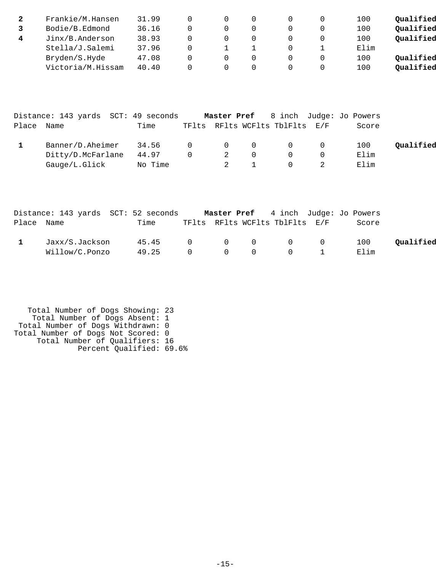| Frankie/M.Hansen  | 31.99 |  |  | 100  | Oualified |
|-------------------|-------|--|--|------|-----------|
| Bodie/B.Edmond    | 36.16 |  |  | 100  | Oualified |
| Jinx/B.Anderson   | 38.93 |  |  | 100  | Qualified |
| Stella/J.Salemi   | 37.96 |  |  | Elim |           |
| Bryden/S.Hyde     | 47.08 |  |  | 100  | Oualified |
| Victoria/M.Hissam | 40.40 |  |  | 100  | Oualified |

|            | Distance: 143 yards SCT: 49 seconds |         |                                                |   |          |                                |            | Master Pref 8 inch Judge: Jo Powers |           |
|------------|-------------------------------------|---------|------------------------------------------------|---|----------|--------------------------------|------------|-------------------------------------|-----------|
| Place Name |                                     | Time    |                                                |   |          | TFlts RFlts WCFlts TblFlts E/F |            | Score                               |           |
|            | Banner/D.Aheimer                    | 34.56   | $\begin{array}{ccc} & & & 0 & & 0 \end{array}$ |   |          |                                | $\Omega$ 0 | 100                                 | Oualified |
|            | Ditty/D.McFarlane                   | 44.97   | $\Omega$                                       | 2 | $\Omega$ |                                |            | Elim                                |           |
|            | Gauge/L.Glick                       | No Time |                                                |   |          |                                |            | Elim                                |           |

|            |                | Distance: 143 yards SCT: 52 seconds |  |                                | <b>Master Pref</b> 4 inch Judge: Jo Powers |           |
|------------|----------------|-------------------------------------|--|--------------------------------|--------------------------------------------|-----------|
| Place Name |                | Time                                |  | TFlts RFlts WCFlts TblFlts E/F | Score                                      |           |
|            | Jaxx/S.Jackson | 45.45                               |  |                                | 100                                        | Qualified |
|            | Willow/C.Ponzo | 49.25 0 0 0                         |  | $\overline{0}$                 | Elim                                       |           |

 Total Number of Dogs Showing: 23 Total Number of Dogs Absent: 1 Total Number of Dogs Withdrawn: 0 Total Number of Dogs Not Scored: 0 Total Number of Qualifiers: 16 Percent Qualified: 69.6%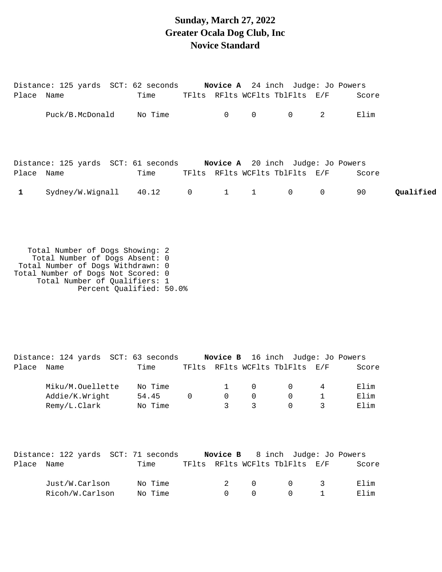#### **Sunday, March 27, 2022 Greater Ocala Dog Club, Inc Novice Standard**

|            | Distance: 125 yards SCT: 62 seconds Novice A 24 inch Judge: Jo Powers |      |  |                     |                                |   |       |           |
|------------|-----------------------------------------------------------------------|------|--|---------------------|--------------------------------|---|-------|-----------|
| Place Name |                                                                       | Time |  |                     | TFlts RFlts WCFlts TblFlts E/F |   | Score |           |
|            | Puck/B.McDonald No Time                                               |      |  | $0\qquad 0$         | $\overline{0}$                 |   | Elim  |           |
| Place Name | Distance: 125 yards SCT: 61 seconds Novice A 20 inch Judge: Jo Powers | Time |  |                     | TFlts RFlts WCFlts TblFlts E/F |   | Score |           |
|            | Sydney/W.Wignall 40.12 0                                              |      |  | $1 \quad 1 \quad 0$ |                                | 0 | 90    | Oualified |

 Total Number of Dogs Showing: 2 Total Number of Dogs Absent: 0 Total Number of Dogs Withdrawn: 0 Total Number of Dogs Not Scored: 0 Total Number of Qualifiers: 1 Percent Qualified: 50.0%

Distance: 124 yards SCT: 63 seconds **Novice B** 16 inch Judge: Jo Powers Place Name Time TFlts RFlts WCFlts TblFlts E/F Score Miku/M.Ouellette No Time  $1$  0 0 4 Elim Addie/K.Wright 54.45 0 0 0 0 1 Elim Remy/L.Clark Mo Time 3 3 3 0 3 Elim Distance: 122 yards SCT: 71 seconds **Novice B** 8 inch Judge: Jo Powers Place Name Time TFlts RFlts WCFlts TblFlts E/F Score Just/W.Carlson No Time 2 0 0 3 Elim Ricoh/W.Carlson No Time 0 0 0 0 1 Elim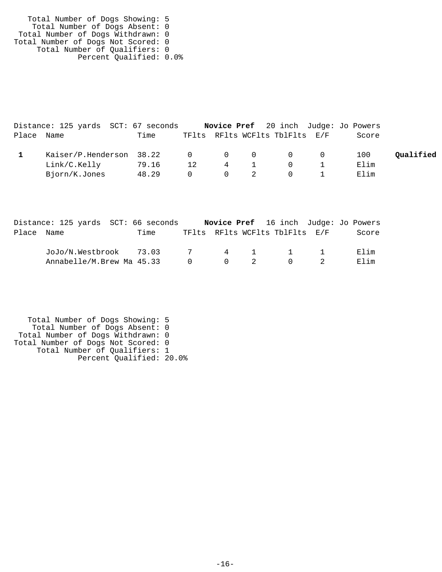| Total Number of Dogs Showing: 5    |  |
|------------------------------------|--|
| Total Number of Dogs Absent: 0     |  |
| Total Number of Dogs Withdrawn: 0  |  |
| Total Number of Dogs Not Scored: 0 |  |
| Total Number of Qualifiers: 0      |  |
| Percent Qualified: 0.0%            |  |

|            | Distance: 125 yards SCT: 67 seconds |       |          |                |                                       | Novice Pref 20 inch Judge: Jo Powers |           |
|------------|-------------------------------------|-------|----------|----------------|---------------------------------------|--------------------------------------|-----------|
| Place Name |                                     | Time  |          |                | TFlts RFlts WCFlts TblFlts E/F        | Score                                |           |
|            | Kaiser/P.Henderson 38.22            |       |          |                | $\begin{matrix}0&0&0&0&0\end{matrix}$ | 100                                  | Oualified |
|            | Link/C.Kelly                        | 79.16 | 12       | 4              | $\Omega$                              | Elim                                 |           |
|            | Bjorn/K.Jones                       | 48.29 | $\Omega$ | $\overline{0}$ | $\Omega$                              | Elim                                 |           |

|            | Distance: 125 yards SCT: 66 seconds |      |                |             | <b>Novice Pref</b> 16 inch Judge: Jo Powers  |  |       |
|------------|-------------------------------------|------|----------------|-------------|----------------------------------------------|--|-------|
| Place Name |                                     | Time |                |             | TFlts RFlts WCFlts TblFlts E/F               |  | Score |
|            | JoJo/N.Westbrook 73.03 7            |      |                |             | 4 1 1 1                                      |  | Elim  |
|            | Annabelle/M.Brew Ma 45.33           |      | $\overline{0}$ | $0\qquad 2$ | $\begin{array}{ccc} & & 0 & & 2 \end{array}$ |  | Elim  |

 Total Number of Dogs Showing: 5 Total Number of Dogs Absent: 0 Total Number of Dogs Withdrawn: 0 Total Number of Dogs Not Scored: 0 Total Number of Qualifiers: 1 Percent Qualified: 20.0%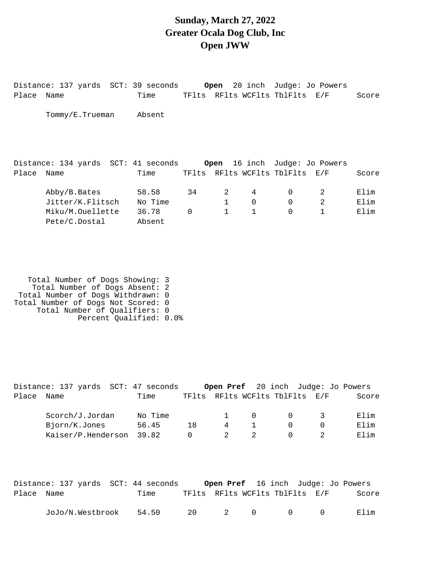#### **Sunday, March 27, 2022 Greater Ocala Dog Club, Inc Open JWW**

Distance: 137 yards SCT: 39 seconds **Open** 20 inch Judge: Jo Powers Place Name Time TFlts RFlts WCFlts TblFlts E/F Score Tommy/E.Trueman Absent Distance: 134 yards SCT: 41 seconds **Open** 16 inch Judge: Jo Powers Place Name Time TFlts RFlts WCFlts TblFlts E/F Score Abby/B.Bates 58.58 34 2 4 0 2 Elim Jitter/K.Flitsch No Time 1 0 0 2 Elim Miku/M.Ouellette 36.78 0 1 1 0 1 Elim Pete/C.Dostal Absent

 Total Number of Dogs Showing: 3 Total Number of Dogs Absent: 2 Total Number of Dogs Withdrawn: 0 Total Number of Dogs Not Scored: 0 Total Number of Qualifiers: 0 Percent Qualified: 0.0%

|       | Distance: 137 yards  SCT: 47 seconds |         |    |   |        | <b>Open Pref</b> 20 inch Judge: Jo Powers |       |
|-------|--------------------------------------|---------|----|---|--------|-------------------------------------------|-------|
| Place | Name                                 | Time    |    |   |        | TFlts RFlts WCFlts TblFlts E/F            | Score |
|       |                                      |         |    |   |        |                                           |       |
|       | Scorch/J.Jordan                      | No Time |    |   | $\cap$ |                                           | Elim  |
|       | Bjorn/K.Jones                        | 56.45   | 18 | 4 |        |                                           | Elim  |
|       | Kaiser/P.Henderson                   | 39.82   |    |   |        |                                           | Elim  |
|       |                                      |         |    |   |        |                                           |       |

|            | Distance: 137 yards SCT: 44 seconds |       |  |              |                | <b>Open Pref</b> 16 inch Judge: Jo Powers |       |
|------------|-------------------------------------|-------|--|--------------|----------------|-------------------------------------------|-------|
| Place Name |                                     | Time  |  |              |                | TFlts RFlts WCFlts TblFlts E/F            | Score |
|            | JoJo/N.Westbrook                    | 54.50 |  | $20$ $2$ $0$ | $\overline{a}$ | $\cap$                                    | Filim |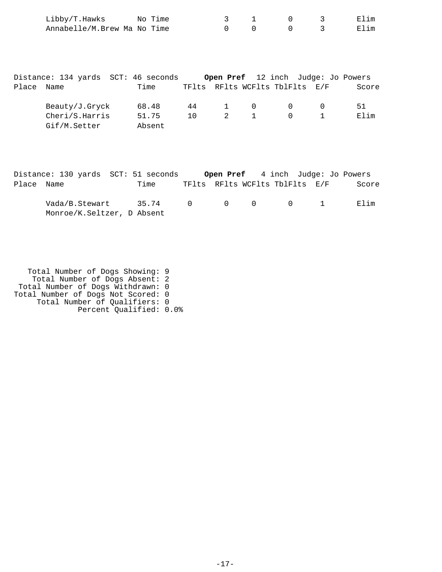| Libby/T.Hawks               | No Time |  |  | Elim |
|-----------------------------|---------|--|--|------|
| Annabelle/M.Brew Ma No Time |         |  |  | Elim |

|       | Distance: 134 yards  SCT: 46 seconds |        |     |       |              | Open Pref 12 inch Judge: Jo Powers |       |
|-------|--------------------------------------|--------|-----|-------|--------------|------------------------------------|-------|
| Place | Name                                 | Time   |     |       |              | TFlts RFlts WCFlts TblFlts E/F     | Score |
|       | Beauty/J.Gryck                       | 68.48  | 44  | $1 -$ | $\cap$       | $\overline{0}$                     | 51    |
|       | Cheri/S.Harris                       | 51.75  | 1 N | 2     | $\mathbf{1}$ | $\Omega$                           | Elim  |
|       | Gif/M.Setter                         | Absent |     |       |              |                                    |       |

|            | Distance: 130 yards SCT: 51 seconds          |       |  |                                | <b>Open Pref</b> 4 inch Judge: Jo Powers |       |
|------------|----------------------------------------------|-------|--|--------------------------------|------------------------------------------|-------|
| Place Name |                                              | Time  |  | TFlts RFlts WCFlts TblFlts E/F |                                          | Score |
|            | Vada/B.Stewart<br>Monroe/K.Seltzer, D Absent | 35.74 |  | $0 \qquad 0 \qquad 0 \qquad 1$ |                                          | Flim  |

 Total Number of Dogs Showing: 9 Total Number of Dogs Absent: 2 Total Number of Dogs Withdrawn: 0 Total Number of Dogs Not Scored: 0 Total Number of Qualifiers: 0 Percent Qualified: 0.0%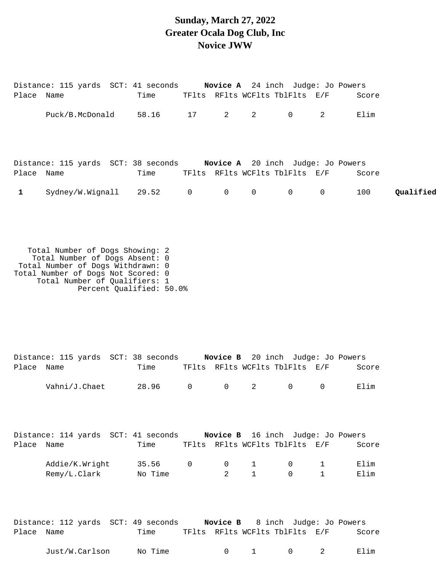#### **Sunday, March 27, 2022 Greater Ocala Dog Club, Inc Novice JWW**

| Place Name   | Distance: 115 yards SCT: 41 seconds <b>Novice A</b> 24 inch Judge: Jo Powers | Time  |    |          | TFlts RFlts WCFlts TblFlts E/F |   | Score |           |
|--------------|------------------------------------------------------------------------------|-------|----|----------|--------------------------------|---|-------|-----------|
|              | Puck/B.McDonald                                                              | 58.16 | 17 | $2 \t 2$ | $\overline{0}$                 | 2 | Elim  |           |
|              |                                                                              |       |    |          |                                |   |       |           |
| Place Name   | Distance: 115 yards SCT: 38 seconds <b>Novice A</b> 20 inch Judge: Jo Powers | Time  |    |          | TFlts RFlts WCFlts TblFlts E/F |   | Score |           |
| $\mathbf{1}$ | $Sydney/W.Wignall$ 29.52 0 0 0                                               |       |    |          | $\overline{0}$ 0               |   | 100   | Oualified |
|              |                                                                              |       |    |          |                                |   |       |           |

 Total Number of Dogs Showing: 2 Total Number of Dogs Absent: 0 Total Number of Dogs Withdrawn: 0 Total Number of Dogs Not Scored: 0 Total Number of Qualifiers: 1 Percent Qualified: 50.0%

| Place Name | Distance: 115 yards SCT: 38 seconds Novice B 20 inch Judge: Jo Powers | Time    |                | TFlts RFlts WCFlts TblFlts E/F |              |              |                | Score |
|------------|-----------------------------------------------------------------------|---------|----------------|--------------------------------|--------------|--------------|----------------|-------|
|            | Vahni/J.Chaet                                                         | 28.96   | $\overline{0}$ | $0\qquad 2$                    |              | $\mathbf 0$  | 0              | Elim  |
|            |                                                                       |         |                |                                |              |              |                |       |
|            | Distance: 114 yards SCT: 41 seconds Novice B 16 inch Judge: Jo Powers |         |                |                                |              |              |                |       |
| Place Name |                                                                       | Time    |                | TFlts RFlts WCFlts TblFlts E/F |              |              |                | Score |
|            | Addie/K.Wright                                                        | 35.56   | $\overline{0}$ | $\overline{0}$                 | $\mathbf{1}$ | $\mathsf{O}$ | $\overline{1}$ | Elim  |
|            | Remy/L.Clark                                                          | No Time |                | $\overline{a}$                 | $\mathbf{1}$ | $\mathbf 0$  | $\mathbf{1}$   | Elim  |
|            |                                                                       |         |                |                                |              |              |                |       |

|            | Distance: 112 yards SCT: 49 seconds |         |  |  | <b>Novice B</b> 8 inch Judge: Jo Powers |       |
|------------|-------------------------------------|---------|--|--|-----------------------------------------|-------|
| Place Name |                                     | Time    |  |  | TFlts RFlts WCFlts TblFlts E/F          | Score |
|            | Just/W.Carlson                      | No Time |  |  | $0 \qquad 1 \qquad 0 \qquad 2$          | Elim  |